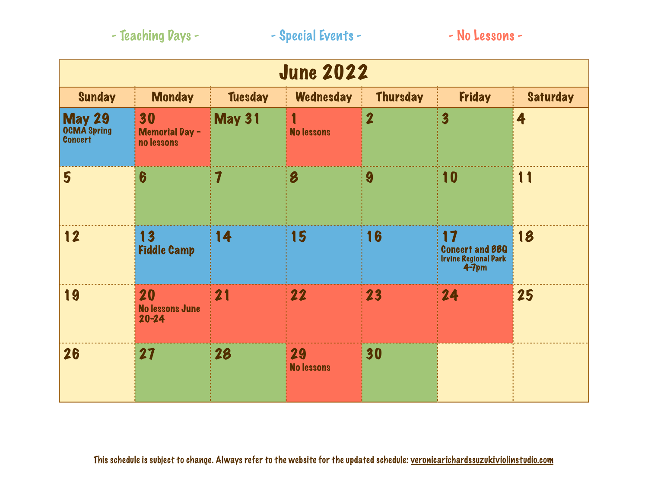|  | - Teaching Days - |
|--|-------------------|
|--|-------------------|

| <b>June 2022</b>                                      |                                           |                         |                         |                         |                                                               |                 |
|-------------------------------------------------------|-------------------------------------------|-------------------------|-------------------------|-------------------------|---------------------------------------------------------------|-----------------|
| <b>Sunday</b>                                         | <b>Monday</b>                             | <b>Tuesday</b>          | <b>Wednesday</b>        | <b>Thursday</b>         | <b>Friday</b>                                                 | <b>Saturday</b> |
| <b>May 29</b><br><b>OCMA</b> Spring<br><b>Concert</b> | 30<br><b>Memorial Day -</b><br>no lessons | <b>May 31</b>           | <b>No lessons</b>       | $\overline{\mathbf{2}}$ | $\overline{\mathbf{3}}$                                       | 4               |
| 5                                                     | 6                                         | $\overline{\mathbf{1}}$ | 8                       | 9                       | 10                                                            | 11              |
| 12                                                    | 13<br><b>Fiddle Camp</b>                  | 14                      | 15                      | 16                      | 17<br><b>Concert and BBQ</b><br>Irvine Regional Park<br>4-7pm | 18              |
| 19                                                    | 20<br><b>No lessons June</b><br>$20 - 24$ | 21                      | 22                      | 23                      | 24                                                            | 25              |
| 26                                                    | 27                                        | 28                      | 29<br><b>No lessons</b> | 30                      |                                                               |                 |

This schedule is subject to change. Always refer to the website for the updated schedule: [veronicarichardssuzukiviolinstudio.com](http://veronicarichardssuzukiviolinstudio.com)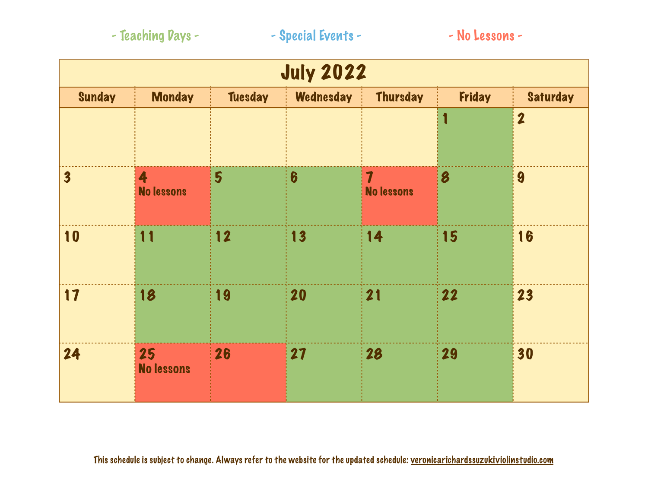|  |  |  |  | - Teaching Days - |  |
|--|--|--|--|-------------------|--|
|--|--|--|--|-------------------|--|

| <b>July 2022</b>        |                         |                |                  |                                              |        |                         |
|-------------------------|-------------------------|----------------|------------------|----------------------------------------------|--------|-------------------------|
| Sunday                  | <b>Monday</b>           | <b>Tuesday</b> | <b>Wednesday</b> | <b>Thursday</b>                              | Friday | <b>Saturday</b>         |
|                         |                         |                |                  |                                              | 1      | $\overline{\mathbf{2}}$ |
| $\overline{\mathbf{3}}$ | 4<br><b>No lessons</b>  | 5              | $\boldsymbol{6}$ | $\overline{\mathbf{7}}$<br><b>No lessons</b> | 8      | 9                       |
| 10                      | 11                      | 12             | 13               | 14                                           | 15     | 16                      |
| 17                      | 18                      | 19             | 20               | 21                                           | 22     | 23                      |
| 24                      | 25<br><b>No lessons</b> | 26             | 27               | 28                                           | 29     | 30                      |

This schedule is subject to change. Always refer to the website for the updated schedule: [veronicarichardssuzukiviolinstudio.com](http://veronicarichardssuzukiviolinstudio.com)